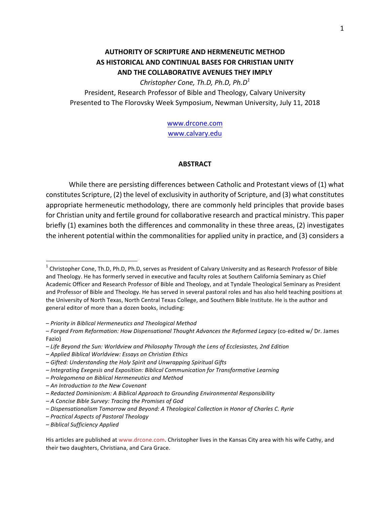# **AUTHORITY OF SCRIPTURE AND HERMENEUTIC METHOD** AS HISTORICAL AND CONTINUAL BASES FOR CHRISTIAN UNITY **AND THE COLLABORATIVE AVENUES THEY IMPLY**

*Christopher Cone, Th.D, Ph.D, Ph.D<sup>1</sup>*

President, Research Professor of Bible and Theology, Calvary University Presented to The Florovsky Week Symposium, Newman University, July 11, 2018

> www.drcone.com www.calvary.edu

#### **ABSTRACT**

While there are persisting differences between Catholic and Protestant views of (1) what constitutes Scripture, (2) the level of exclusivity in authority of Scripture, and (3) what constitutes appropriate hermeneutic methodology, there are commonly held principles that provide bases for Christian unity and fertile ground for collaborative research and practical ministry. This paper briefly (1) examines both the differences and commonality in these three areas, (2) investigates the inherent potential within the commonalities for applied unity in practice, and  $(3)$  considers a

– *Priority in Biblical Hermeneutics and Theological Method*

- *– Prolegomena on Biblical Hermeneutics and Method*
- *– An Introduction to the New Covenant*

 $1$  Christopher Cone, Th.D, Ph.D, Ph.D, serves as President of Calvary University and as Research Professor of Bible and Theology. He has formerly served in executive and faculty roles at Southern California Seminary as Chief Academic Officer and Research Professor of Bible and Theology, and at Tyndale Theological Seminary as President and Professor of Bible and Theology. He has served in several pastoral roles and has also held teaching positions at the University of North Texas, North Central Texas College, and Southern Bible Institute. He is the author and general editor of more than a dozen books, including:

<sup>–</sup> *Forged From Reformation: How Dispensational Thought Advances the Reformed Legacy* (co-edited w/ Dr. James Fazio)

*<sup>–</sup> Life Beyond the Sun: Worldview and Philosophy Through the Lens of Ecclesiastes, 2nd Edition*

*<sup>–</sup> Applied Biblical Worldview: Essays on Christian Ethics*

*<sup>–</sup> Gifted: Understanding the Holy Spirit and Unwrapping Spiritual Gifts*

*<sup>–</sup> Integrating Exegesis and Exposition: Biblical Communication for Transformative Learning*

*<sup>–</sup> Redacted Dominionism: A Biblical Approach to Grounding Environmental Responsibility*

*<sup>–</sup> A Concise Bible Survey: Tracing the Promises of God*

*<sup>–</sup> Dispensationalism Tomorrow and Beyond: A Theological Collection in Honor of Charles C. Ryrie*

*<sup>–</sup> Practical Aspects of Pastoral Theology*

*<sup>–</sup> Biblical Sufficiency Applied*

His articles are published at www.drcone.com. Christopher lives in the Kansas City area with his wife Cathy, and their two daughters, Christiana, and Cara Grace.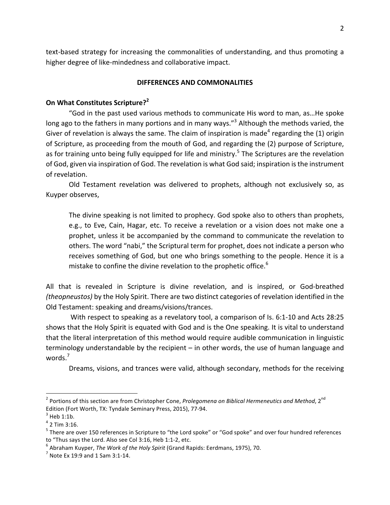text-based strategy for increasing the commonalities of understanding, and thus promoting a higher degree of like-mindedness and collaborative impact.

## **DIFFERENCES AND COMMONALITIES**

## **On What Constitutes Scripture?**<sup>2</sup>

"God in the past used various methods to communicate His word to man, as...He spoke long ago to the fathers in many portions and in many ways."<sup>3</sup> Although the methods varied, the Giver of revelation is always the same. The claim of inspiration is made<sup>4</sup> regarding the (1) origin of Scripture, as proceeding from the mouth of God, and regarding the (2) purpose of Scripture, as for training unto being fully equipped for life and ministry.<sup>5</sup> The Scriptures are the revelation of God, given via inspiration of God. The revelation is what God said; inspiration is the instrument of revelation.

Old Testament revelation was delivered to prophets, although not exclusively so, as Kuyper observes,

The divine speaking is not limited to prophecy. God spoke also to others than prophets, e.g., to Eve, Cain, Hagar, etc. To receive a revelation or a vision does not make one a prophet, unless it be accompanied by the command to communicate the revelation to others. The word "nabi," the Scriptural term for prophet, does not indicate a person who receives something of God, but one who brings something to the people. Hence it is a mistake to confine the divine revelation to the prophetic office.<sup>6</sup>

All that is revealed in Scripture is divine revelation, and is inspired, or God-breathed *(theopneustos)* by the Holy Spirit. There are two distinct categories of revelation identified in the Old Testament: speaking and dreams/visions/trances.

With respect to speaking as a revelatory tool, a comparison of Is. 6:1-10 and Acts 28:25 shows that the Holy Spirit is equated with God and is the One speaking. It is vital to understand that the literal interpretation of this method would require audible communication in linguistic terminology understandable by the recipient  $-$  in other words, the use of human language and words.<sup>7</sup>

Dreams, visions, and trances were valid, although secondary, methods for the receiving

<sup>&</sup>lt;sup>2</sup> Portions of this section are from Christopher Cone, *Prolegomena on Biblical Hermeneutics and Method*, 2<sup>nd</sup> Edition (Fort Worth, TX: Tyndale Seminary Press, 2015), 77-94.<br> $3$  Heb 1:1b.

 $4$  2 Tim 3:16.

 $^5$  There are over 150 references in Scripture to "the Lord spoke" or "God spoke" and over four hundred references to "Thus says the Lord. Also see Col 3:16, Heb 1:1-2, etc.<br><sup>6</sup> Abraham Kuyper, *The Work of the Holy Spirit* (Grand Rapids: Eerdmans, 1975), 70. <sup>7</sup> Note Ex 19:9 and 1 Sam 3:1-14.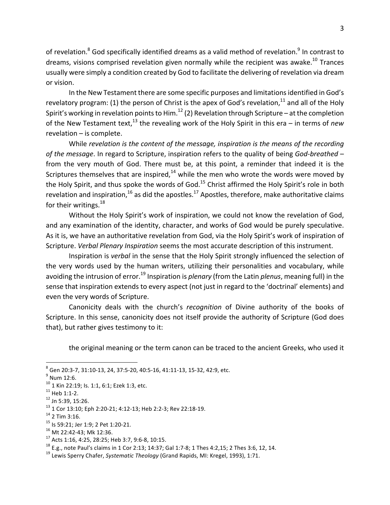of revelation.<sup>8</sup> God specifically identified dreams as a valid method of revelation.<sup>9</sup> In contrast to dreams, visions comprised revelation given normally while the recipient was awake.<sup>10</sup> Trances usually were simply a condition created by God to facilitate the delivering of revelation via dream or vision.

In the New Testament there are some specific purposes and limitations identified in God's revelatory program: (1) the person of Christ is the apex of God's revelation,  $^{11}$  and all of the Holy Spirit's working in revelation points to Him. $^{12}$  (2) Revelation through Scripture – at the completion of the New Testament text,<sup>13</sup> the revealing work of the Holy Spirit in this era – in terms of *new*  $revelation - is complete.$ 

While revelation is the content of the message, inspiration is the means of the recording of the message. In regard to Scripture, inspiration refers to the quality of being *God-breathed* – from the very mouth of God. There must be, at this point, a reminder that indeed it is the Scriptures themselves that are inspired, $^{14}$  while the men who wrote the words were moved by the Holy Spirit, and thus spoke the words of God.<sup>15</sup> Christ affirmed the Holy Spirit's role in both revelation and inspiration,  $^{16}$  as did the apostles.  $^{17}$  Apostles, therefore, make authoritative claims for their writings. $^{18}$ 

Without the Holy Spirit's work of inspiration, we could not know the revelation of God, and any examination of the identity, character, and works of God would be purely speculative. As it is, we have an authoritative revelation from God, via the Holy Spirit's work of inspiration of Scripture. *Verbal Plenary Inspiration* seems the most accurate description of this instrument.

Inspiration is *verbal* in the sense that the Holy Spirit strongly influenced the selection of the very words used by the human writers, utilizing their personalities and vocabulary, while avoiding the intrusion of error.<sup>19</sup> Inspiration is *plenary* (from the Latin *plenus*, meaning full) in the sense that inspiration extends to every aspect (not just in regard to the 'doctrinal' elements) and even the very words of Scripture.

Canonicity deals with the church's *recognition* of Divine authority of the books of Scripture. In this sense, canonicity does not itself provide the authority of Scripture (God does that), but rather gives testimony to it:

the original meaning or the term canon can be traced to the ancient Greeks, who used it

 $^8$  Gen 20:3-7, 31:10-13, 24, 37:5-20, 40:5-16, 41:11-13, 15-32, 42:9, etc.<br><sup>9</sup> Num 12:6.<br><sup>10</sup> 1 Kin 22:19; Is. 1:1, 6:1; Ezek 1:3, etc.

<sup>&</sup>lt;sup>10</sup> 1 Kin 22:19; ls. 1:1, 6:1; Ezek 1:3, etc.<br><sup>11</sup> Heb 1:1-2.<br><sup>12</sup> Jn 5:39, 15:26.<br><sup>13</sup> 1 Cor 13:10; Eph 2:20-21; 4:12-13; Heb 2:2-3; Rev 22:18-19.<br><sup>14</sup> 2 Tim 3:16.<br><sup>15</sup> Is 59:21; Jer 1:9; 2 Pet 1:20-21.<br><sup>16</sup> Mt 22:42-43;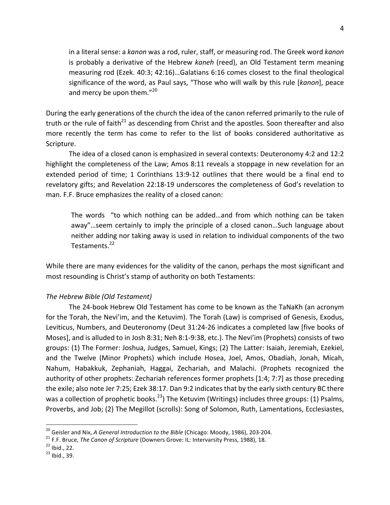in a literal sense: a kanon was a rod, ruler, staff, or measuring rod. The Greek word kanon is probably a derivative of the Hebrew *kaneh* (reed), an Old Testament term meaning measuring rod (Ezek.  $40:3$ ;  $42:16$ )...Galatians  $6:16$  comes closest to the final theological significance of the word, as Paul says, "Those who will walk by this rule [kanon], peace and mercy be upon them. $"^{20}$ 

During the early generations of the church the idea of the canon referred primarily to the rule of truth or the rule of faith<sup>21</sup> as descending from Christ and the apostles. Soon thereafter and also more recently the term has come to refer to the list of books considered authoritative as Scripture. 

The idea of a closed canon is emphasized in several contexts: Deuteronomy 4:2 and 12:2 highlight the completeness of the Law; Amos 8:11 reveals a stoppage in new revelation for an extended period of time; 1 Corinthians 13:9-12 outlines that there would be a final end to revelatory gifts; and Revelation 22:18-19 underscores the completeness of God's revelation to man. F.F. Bruce emphasizes the reality of a closed canon:

The words "to which nothing can be added...and from which nothing can be taken away"...seem certainly to imply the principle of a closed canon...Such language about neither adding nor taking away is used in relation to individual components of the two Testaments.<sup>22</sup>

While there are many evidences for the validity of the canon, perhaps the most significant and most resounding is Christ's stamp of authority on both Testaments:

# *The Hebrew Bible (Old Testament)*

The 24-book Hebrew Old Testament has come to be known as the TaNaKh (an acronym for the Torah, the Nevi'im, and the Ketuvim). The Torah (Law) is comprised of Genesis, Exodus, Leviticus, Numbers, and Deuteronomy (Deut 31:24-26 indicates a completed law [five books of Moses], and is alluded to in Josh 8:31; Neh 8:1-9:38, etc.). The Nevi'im (Prophets) consists of two groups: (1) The Former: Joshua, Judges, Samuel, Kings; (2) The Latter: Isaiah, Jeremiah, Ezekiel, and the Twelve (Minor Prophets) which include Hosea, Joel, Amos, Obadiah, Jonah, Micah, Nahum, Habakkuk, Zephaniah, Haggai, Zechariah, and Malachi. (Prophets recognized the authority of other prophets: Zechariah references former prophets [1:4; 7:7] as those preceding the exile; also note Jer 7:25; Ezek 38:17. Dan 9:2 indicates that by the early sixth century BC there was a collection of prophetic books.<sup>23</sup>) The Ketuvim (Writings) includes three groups: (1) Psalms, Proverbs, and Job; (2) The Megillot (scrolls): Song of Solomon, Ruth, Lamentations, Ecclesiastes,

<sup>&</sup>lt;sup>20</sup> Geisler and Nix, *A General Introduction to the Bible* (Chicago: Moody, 1986), 203-204.<br><sup>21</sup> F.F. Bruce, *The Canon of Scripture* (Downers Grove: IL: Intervarsity Press, 1988), 18.<br><sup>22</sup> Ibid., 22. <sup>23</sup> Ibid., 39.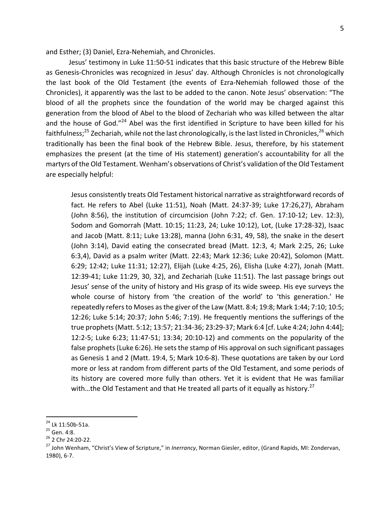and Esther; (3) Daniel, Ezra-Nehemiah, and Chronicles.

Jesus' testimony in Luke 11:50-51 indicates that this basic structure of the Hebrew Bible as Genesis-Chronicles was recognized in Jesus' day. Although Chronicles is not chronologically the last book of the Old Testament (the events of Ezra-Nehemiah followed those of the Chronicles), it apparently was the last to be added to the canon. Note Jesus' observation: "The blood of all the prophets since the foundation of the world may be charged against this generation from the blood of Abel to the blood of Zechariah who was killed between the altar and the house of God."<sup>24</sup> Abel was the first identified in Scripture to have been killed for his faithfulness;<sup>25</sup> Zechariah, while not the last chronologically, is the last listed in Chronicles,<sup>26</sup> which traditionally has been the final book of the Hebrew Bible. Jesus, therefore, by his statement emphasizes the present (at the time of His statement) generation's accountability for all the martyrs of the Old Testament. Wenham's observations of Christ's validation of the Old Testament are especially helpful:

Jesus consistently treats Old Testament historical narrative as straightforward records of fact. He refers to Abel (Luke 11:51), Noah (Matt. 24:37-39; Luke 17:26,27), Abraham (John 8:56), the institution of circumcision (John 7:22; cf. Gen.  $17:10-12$ ; Lev.  $12:3$ ), Sodom and Gomorrah (Matt. 10:15; 11:23, 24; Luke 10:12), Lot, (Luke 17:28-32), Isaac and Jacob (Matt.  $8:11$ ; Luke  $13:28$ ), manna (John  $6:31$ ,  $49$ ,  $58$ ), the snake in the desert (John 3:14), David eating the consecrated bread (Matt. 12:3, 4; Mark 2:25, 26; Luke 6:3,4), David as a psalm writer (Matt. 22:43; Mark 12:36; Luke 20:42), Solomon (Matt. 6:29; 12:42; Luke 11:31; 12:27), Elijah (Luke 4:25, 26), Elisha (Luke 4:27), Jonah (Matt. 12:39-41; Luke 11:29, 30, 32), and Zechariah (Luke 11:51). The last passage brings out Jesus' sense of the unity of history and His grasp of its wide sweep. His eye surveys the whole course of history from 'the creation of the world' to 'this generation.' He repeatedly refers to Moses as the giver of the Law (Matt. 8:4; 19:8; Mark 1:44; 7:10; 10:5; 12:26; Luke  $5:14$ ;  $20:37$ ; John  $5:46$ ;  $7:19$ ). He frequently mentions the sufferings of the true prophets (Matt. 5:12; 13:57; 21:34-36; 23:29-37; Mark 6:4 [cf. Luke 4:24; John 4:44]; 12:2-5; Luke  $6:23$ ; 11:47-51; 13:34; 20:10-12) and comments on the popularity of the false prophets (Luke 6:26). He sets the stamp of His approval on such significant passages as Genesis 1 and 2 (Matt. 19:4, 5; Mark 10:6-8). These quotations are taken by our Lord more or less at random from different parts of the Old Testament, and some periods of its history are covered more fully than others. Yet it is evident that He was familiar with...the Old Testament and that He treated all parts of it equally as history.<sup>27</sup>

<sup>&</sup>lt;sup>24</sup> Lk 11:50b-51a.<br><sup>25</sup> Gen. 4:8.<br><sup>26</sup> 2 Chr 24:20-22.<br><sup>27</sup> John Wenham, "Christ's View of Scripture," in *Inerrancy*, Norman Giesler, editor, (Grand Rapids, MI: Zondervan, 1980), 6-7.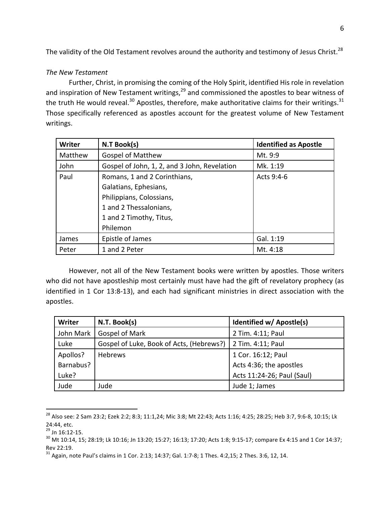The validity of the Old Testament revolves around the authority and testimony of Jesus Christ.<sup>28</sup>

# *The New Testament*

Further, Christ, in promising the coming of the Holy Spirit, identified His role in revelation and inspiration of New Testament writings,  $29$  and commissioned the apostles to bear witness of the truth He would reveal.<sup>30</sup> Apostles, therefore, make authoritative claims for their writings.<sup>31</sup> Those specifically referenced as apostles account for the greatest volume of New Testament writings. 

| <b>Writer</b> | N.T Book(s)                                  | <b>Identified as Apostle</b> |
|---------------|----------------------------------------------|------------------------------|
| Matthew       | <b>Gospel of Matthew</b>                     | Mt. 9:9                      |
| John          | Gospel of John, 1, 2, and 3 John, Revelation | Mk. 1:19                     |
| Paul          | Romans, 1 and 2 Corinthians,                 | Acts 9:4-6                   |
|               | Galatians, Ephesians,                        |                              |
|               | Philippians, Colossians,                     |                              |
|               | 1 and 2 Thessalonians,                       |                              |
|               | 1 and 2 Timothy, Titus,                      |                              |
|               | Philemon                                     |                              |
| James         | Epistle of James                             | Gal. 1:19                    |
| Peter         | 1 and 2 Peter                                | Mt. 4:18                     |

However, not all of the New Testament books were written by apostles. Those writers who did not have apostleship most certainly must have had the gift of revelatory prophecy (as identified in 1 Cor 13:8-13), and each had significant ministries in direct association with the apostles.

| <b>Writer</b> | N.T. Book(s)                             | Identified w/ Apostle(s)   |
|---------------|------------------------------------------|----------------------------|
| John Mark     | Gospel of Mark                           | 2 Tim. 4:11; Paul          |
| Luke          | Gospel of Luke, Book of Acts, (Hebrews?) | 2 Tim. 4:11; Paul          |
| Apollos?      | <b>Hebrews</b>                           | 1 Cor. 16:12; Paul         |
| Barnabus?     |                                          | Acts 4:36; the apostles    |
| Luke?         |                                          | Acts 11:24-26; Paul (Saul) |
| Jude          | Jude                                     | Jude 1; James              |

 $^{28}$  Also see: 2 Sam 23:2; Ezek 2:2; 8:3; 11:1,24; Mic 3:8; Mt 22:43; Acts 1:16; 4:25; 28:25; Heb 3:7, 9:6-8, 10:15; Lk 24:44, etc.<br><sup>29</sup> Jn 16:12-15.

 $^{30}$  Mt 10:14, 15; 28:19; Lk 10:16; Jn 13:20; 15:27; 16:13; 17:20; Acts 1:8; 9:15-17; compare Ex 4:15 and 1 Cor 14:37; Rev 22:19.

 $31$  Again, note Paul's claims in 1 Cor. 2:13; 14:37; Gal. 1:7-8; 1 Thes. 4:2,15; 2 Thes. 3:6, 12, 14.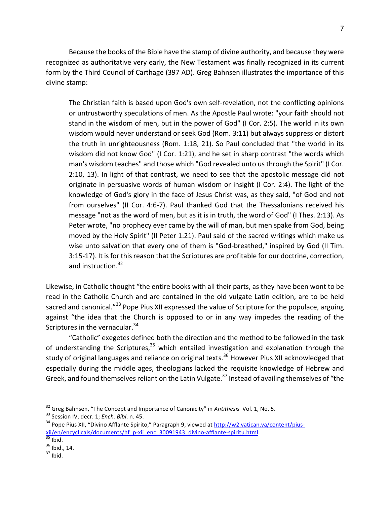Because the books of the Bible have the stamp of divine authority, and because they were recognized as authoritative very early, the New Testament was finally recognized in its current form by the Third Council of Carthage (397 AD). Greg Bahnsen illustrates the importance of this divine stamp:

The Christian faith is based upon God's own self-revelation, not the conflicting opinions or untrustworthy speculations of men. As the Apostle Paul wrote: "your faith should not stand in the wisdom of men, but in the power of God" (I Cor. 2:5). The world in its own wisdom would never understand or seek God (Rom. 3:11) but always suppress or distort the truth in unrighteousness (Rom. 1:18, 21). So Paul concluded that "the world in its wisdom did not know God" (I Cor. 1:21), and he set in sharp contrast "the words which man's wisdom teaches" and those which "God revealed unto us through the Spirit" (I Cor. 2:10, 13). In light of that contrast, we need to see that the apostolic message did not originate in persuasive words of human wisdom or insight (I Cor. 2:4). The light of the knowledge of God's glory in the face of Jesus Christ was, as they said, "of God and not from ourselves" (II Cor. 4:6-7). Paul thanked God that the Thessalonians received his message "not as the word of men, but as it is in truth, the word of God" (I Thes. 2:13). As Peter wrote, "no prophecy ever came by the will of man, but men spake from God, being moved by the Holy Spirit" (II Peter 1:21). Paul said of the sacred writings which make us wise unto salvation that every one of them is "God-breathed," inspired by God (II Tim. 3:15-17). It is for this reason that the Scriptures are profitable for our doctrine, correction, and instruction. $32$ 

Likewise, in Catholic thought "the entire books with all their parts, as they have been wont to be read in the Catholic Church and are contained in the old vulgate Latin edition, are to be held sacred and canonical."<sup>33</sup> Pope Pius XII expressed the value of Scripture for the populace, arguing against "the idea that the Church is opposed to or in any way impedes the reading of the Scriptures in the vernacular. $34$ 

"Catholic" exegetes defined both the direction and the method to be followed in the task of understanding the Scriptures,  $35$  which entailed investigation and explanation through the study of original languages and reliance on original texts.<sup>36</sup> However Pius XII acknowledged that especially during the middle ages, theologians lacked the requisite knowledge of Hebrew and Greek, and found themselves reliant on the Latin Vulgate.<sup>37</sup> Instead of availing themselves of "the

<sup>&</sup>lt;sup>32</sup> Greg Bahnsen, "The Concept and Importance of Canonicity" in Antithesis Vol. 1, No. 5.<br><sup>33</sup> Session IV, decr. 1; *Ench. Bibl.* n. 45.<br><sup>34</sup> Pope Pius XII, "Divino Afflante Spirito," Paragraph 9, viewed at <u>http://w2.va</u>  $\frac{\text{xii}/\text{en}/\text{encyclicals}/\text{documents}/\text{hf}}{35}$  Ibid.<br>
<sup>36</sup> Ibid., 14.<br>
<sup>37</sup> Ibid., 14.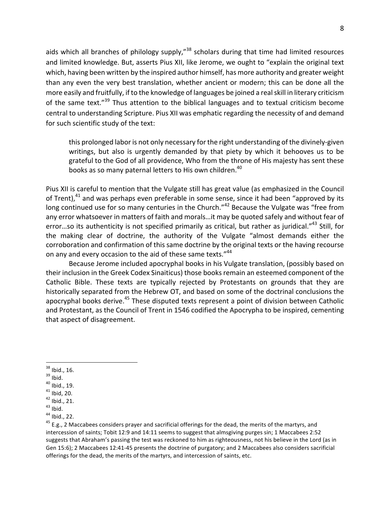aids which all branches of philology supply," $38$  scholars during that time had limited resources and limited knowledge. But, asserts Pius XII, like Jerome, we ought to "explain the original text which, having been written by the inspired author himself, has more authority and greater weight than any even the very best translation, whether ancient or modern; this can be done all the more easily and fruitfully, if to the knowledge of languages be joined a real skill in literary criticism of the same text."<sup>39</sup> Thus attention to the biblical languages and to textual criticism become central to understanding Scripture. Pius XII was emphatic regarding the necessity of and demand for such scientific study of the text:

this prolonged labor is not only necessary for the right understanding of the divinely-given writings, but also is urgently demanded by that piety by which it behooves us to be grateful to the God of all providence, Who from the throne of His majesty has sent these books as so many paternal letters to His own children.<sup>40</sup>

Pius XII is careful to mention that the Vulgate still has great value (as emphasized in the Council of Trent), $41$  and was perhaps even preferable in some sense, since it had been "approved by its long continued use for so many centuries in the Church."<sup>42</sup> Because the Vulgate was "free from any error whatsoever in matters of faith and morals...it may be quoted safely and without fear of error...so its authenticity is not specified primarily as critical, but rather as juridical."<sup>43</sup> Still, for the making clear of doctrine, the authority of the Vulgate "almost demands either the corroboration and confirmation of this same doctrine by the original texts or the having recourse on any and every occasion to the aid of these same texts."<sup>44</sup>

Because Jerome included apocryphal books in his Vulgate translation, (possibly based on their inclusion in the Greek Codex Sinaiticus) those books remain an esteemed component of the Catholic Bible. These texts are typically rejected by Protestants on grounds that they are historically separated from the Hebrew OT, and based on some of the doctrinal conclusions the apocryphal books derive.<sup>45</sup> These disputed texts represent a point of division between Catholic and Protestant, as the Council of Trent in 1546 codified the Apocrypha to be inspired, cementing that aspect of disagreement.

<sup>&</sup>lt;sup>38</sup> Ibid., 16.<br><sup>39</sup> Ibid.<br><sup>40</sup> Ibid., 19.<br><sup>41</sup> Ibid., 20.<br><sup>44</sup> Ibid., 21.<br><sup>44</sup> Ibid., 22.<br><sup>45</sup> E.g., 2 Maccabees considers prayer and sacrificial offerings for the dead, the merits of the martyrs, and intercession of saints; Tobit 12:9 and 14:11 seems to suggest that almsgiving purges sin; 1 Maccabees 2:52 suggests that Abraham's passing the test was reckoned to him as righteousness, not his believe in the Lord (as in Gen 15:6); 2 Maccabees 12:41-45 presents the doctrine of purgatory; and 2 Maccabees also considers sacrificial offerings for the dead, the merits of the martyrs, and intercession of saints, etc.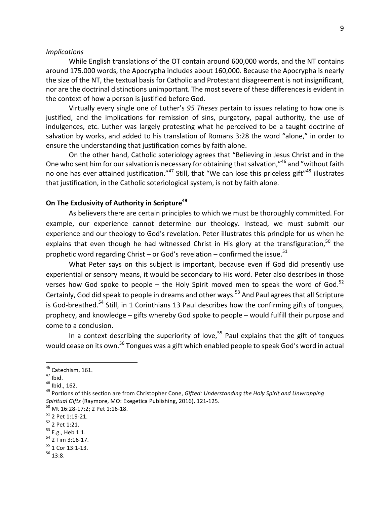#### *Implications*

While English translations of the OT contain around 600,000 words, and the NT contains around 175.000 words, the Apocrypha includes about 160,000. Because the Apocrypha is nearly the size of the NT, the textual basis for Catholic and Protestant disagreement is not insignificant, nor are the doctrinal distinctions unimportant. The most severe of these differences is evident in the context of how a person is justified before God.

Virtually every single one of Luther's 95 Theses pertain to issues relating to how one is justified, and the implications for remission of sins, purgatory, papal authority, the use of indulgences, etc. Luther was largely protesting what he perceived to be a taught doctrine of salvation by works, and added to his translation of Romans 3:28 the word "alone," in order to ensure the understanding that justification comes by faith alone.

On the other hand, Catholic soteriology agrees that "Believing in Jesus Christ and in the One who sent him for our salvation is necessary for obtaining that salvation,"<sup>46</sup> and "without faith no one has ever attained justification."<sup>47</sup> Still, that "We can lose this priceless gift"<sup>48</sup> illustrates that justification, in the Catholic soteriological system, is not by faith alone.

## **On The Exclusivity of Authority in Scripture**<sup>49</sup>

As believers there are certain principles to which we must be thoroughly committed. For example, our experience cannot determine our theology. Instead, we must submit our experience and our theology to God's revelation. Peter illustrates this principle for us when he explains that even though he had witnessed Christ in His glory at the transfiguration,<sup>50</sup> the prophetic word regarding Christ – or God's revelation – confirmed the issue.<sup>51</sup>

What Peter says on this subject is important, because even if God did presently use experiential or sensory means, it would be secondary to His word. Peter also describes in those verses how God spoke to people – the Holy Spirit moved men to speak the word of God.<sup>52</sup> Certainly, God did speak to people in dreams and other ways.<sup>53</sup> And Paul agrees that all Scripture is God-breathed.<sup>54</sup> Still, in 1 Corinthians 13 Paul describes how the confirming gifts of tongues, prophecy, and knowledge  $-$  gifts whereby God spoke to people  $-$  would fulfill their purpose and come to a conclusion.

In a context describing the superiority of love,<sup>55</sup> Paul explains that the gift of tongues would cease on its own.<sup>56</sup> Tongues was a gift which enabled people to speak God's word in actual

<sup>&</sup>lt;sup>46</sup> Catechism, 161.<br><sup>47</sup> Ibid.<br><sup>48</sup> Ibid., 162.<br><sup>49</sup> Portions of this section are from Christopher Cone, *Gifted: Understanding the Holy Spirit and Unwrapping Spiritual Gifts* (Raymore, MO: Exegetica Publishing, 2016), 121-125.<br><sup>50</sup> Mt 16:28-17:2; 2 Pet 1:16-18.<br><sup>51</sup> 2 Pet 1:19-21.<br><sup>52</sup> 2 Pet 1:21.<br><sup>52</sup> 2 Pet 1:21.<br><sup>53</sup> E.g., Heb 1:1.<br><sup>54</sup> 2 Tim 3:16-17.<br><sup>55</sup> 1 Cor 13:1-13.<br><sup>56</sup>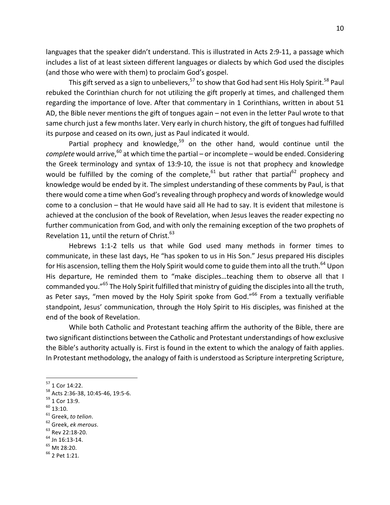languages that the speaker didn't understand. This is illustrated in Acts 2:9-11, a passage which includes a list of at least sixteen different languages or dialects by which God used the disciples (and those who were with them) to proclaim God's gospel.

This gift served as a sign to unbelievers,  $57$  to show that God had sent His Holy Spirit.  $58$  Paul rebuked the Corinthian church for not utilizing the gift properly at times, and challenged them regarding the importance of love. After that commentary in 1 Corinthians, written in about 51 AD, the Bible never mentions the gift of tongues again – not even in the letter Paul wrote to that same church just a few months later. Very early in church history, the gift of tongues had fulfilled its purpose and ceased on its own, just as Paul indicated it would.

Partial prophecy and knowledge, $59$  on the other hand, would continue until the *complete* would arrive,<sup>60</sup> at which time the partial – or incomplete – would be ended. Considering the Greek terminology and syntax of 13:9-10, the issue is not that prophecy and knowledge would be fulfilled by the coming of the complete,<sup>61</sup> but rather that partial<sup>62</sup> prophecy and knowledge would be ended by it. The simplest understanding of these comments by Paul, is that there would come a time when God's revealing through prophecy and words of knowledge would come to a conclusion – that He would have said all He had to say. It is evident that milestone is achieved at the conclusion of the book of Revelation, when Jesus leaves the reader expecting no further communication from God, and with only the remaining exception of the two prophets of Revelation 11, until the return of Christ. $63$ 

Hebrews 1:1-2 tells us that while God used many methods in former times to communicate, in these last days, He "has spoken to us in His Son." Jesus prepared His disciples for His ascension, telling them the Holy Spirit would come to guide them into all the truth.<sup>64</sup> Upon His departure, He reminded them to "make disciples...teaching them to observe all that I commanded you."<sup>65</sup> The Holy Spirit fulfilled that ministry of guiding the disciples into all the truth, as Peter says, "men moved by the Holy Spirit spoke from God."<sup>66</sup> From a textually verifiable standpoint, Jesus' communication, through the Holy Spirit to His disciples, was finished at the end of the book of Revelation.

While both Catholic and Protestant teaching affirm the authority of the Bible, there are two significant distinctions between the Catholic and Protestant understandings of how exclusive the Bible's authority actually is. First is found in the extent to which the analogy of faith applies. In Protestant methodology, the analogy of faith is understood as Scripture interpreting Scripture,

- 
- 

<sup>&</sup>lt;sup>57</sup> 1 Cor 14:22.<br><sup>58</sup> Acts 2:36-38, 10:45-46, 19:5-6.<br><sup>59</sup> 1 Cor 13:9.<br><sup>60</sup> 13:10.<br><sup>61</sup> Greek, *to telion*. <sup>62</sup> Greek, *ek merous.*<br><sup>62</sup> Greek, *ek merous.* 63 Rev 22:18-20.<br><sup>64</sup> Jn 16:13-14. <sup>65</sup> Mt 28:20. 66 2 Pet 1:21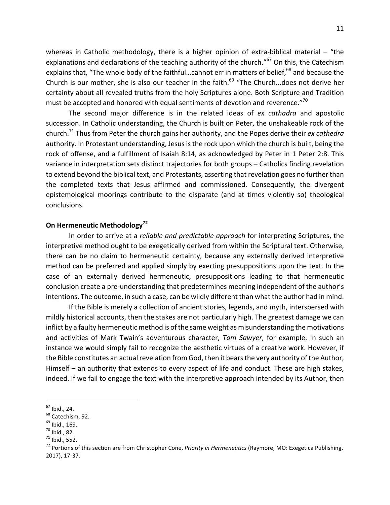whereas in Catholic methodology, there is a higher opinion of extra-biblical material  $-$  "the explanations and declarations of the teaching authority of the church."<sup>67</sup> On this, the Catechism explains that, "The whole body of the faithful...cannot err in matters of belief,<sup>68</sup> and because the Church is our mother, she is also our teacher in the faith. $^{69}$  "The Church...does not derive her certainty about all revealed truths from the holy Scriptures alone. Both Scripture and Tradition must be accepted and honored with equal sentiments of devotion and reverence."<sup>70</sup>

The second major difference is in the related ideas of *ex cathadra* and apostolic succession. In Catholic understanding, the Church is built on Peter, the unshakeable rock of the church.<sup>71</sup> Thus from Peter the church gains her authority, and the Popes derive their *ex cathedra* authority. In Protestant understanding, Jesus is the rock upon which the church is built, being the rock of offense, and a fulfillment of Isaiah 8:14, as acknowledged by Peter in 1 Peter 2:8. This variance in interpretation sets distinct trajectories for both groups – Catholics finding revelation to extend beyond the biblical text, and Protestants, asserting that revelation goes no further than the completed texts that Jesus affirmed and commissioned. Consequently, the divergent epistemological moorings contribute to the disparate (and at times violently so) theological conclusions.

## **On Hermeneutic Methodology**<sup>72</sup>

In order to arrive at a *reliable and predictable approach* for interpreting Scriptures, the interpretive method ought to be exegetically derived from within the Scriptural text. Otherwise, there can be no claim to hermeneutic certainty, because any externally derived interpretive method can be preferred and applied simply by exerting presuppositions upon the text. In the case of an externally derived hermeneutic, presuppositions leading to that hermeneutic conclusion create a pre-understanding that predetermines meaning independent of the author's intentions. The outcome, in such a case, can be wildly different than what the author had in mind.

If the Bible is merely a collection of ancient stories, legends, and myth, interspersed with mildly historical accounts, then the stakes are not particularly high. The greatest damage we can inflict by a faulty hermeneutic method is of the same weight as misunderstanding the motivations and activities of Mark Twain's adventurous character, *Tom Sawyer*, for example. In such an instance we would simply fail to recognize the aesthetic virtues of a creative work. However, if the Bible constitutes an actual revelation from God, then it bears the very authority of the Author, Himself  $-$  an authority that extends to every aspect of life and conduct. These are high stakes, indeed. If we fail to engage the text with the interpretive approach intended by its Author, then

<sup>&</sup>lt;sup>67</sup> Ibid., 24.<br><sup>68</sup> Catechism, 92.<br><sup>69</sup> Ibid., 169.<br><sup>71</sup> Ibid., 82.<br><sup>71</sup> Ibid., 552.<br><sup>72</sup> Portions of this section are from Christopher Cone, *Priority in Hermeneutics* (Raymore, MO: Exegetica Publishing, 2017), 17-37.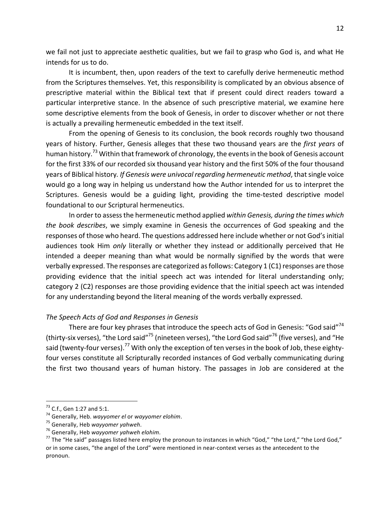we fail not just to appreciate aesthetic qualities, but we fail to grasp who God is, and what He intends for us to do.

It is incumbent, then, upon readers of the text to carefully derive hermeneutic method from the Scriptures themselves. Yet, this responsibility is complicated by an obvious absence of prescriptive material within the Biblical text that if present could direct readers toward a particular interpretive stance. In the absence of such prescriptive material, we examine here some descriptive elements from the book of Genesis, in order to discover whether or not there is actually a prevailing hermeneutic embedded in the text itself.

From the opening of Genesis to its conclusion, the book records roughly two thousand years of history. Further, Genesis alleges that these two thousand years are the *first years* of human history.<sup>73</sup> Within that framework of chronology, the events in the book of Genesis account for the first 33% of our recorded six thousand year history and the first 50% of the four thousand years of Biblical history. If Genesis were univocal regarding hermeneutic method, that single voice would go a long way in helping us understand how the Author intended for us to interpret the Scriptures. Genesis would be a guiding light, providing the time-tested descriptive model foundational to our Scriptural hermeneutics.

In order to assess the hermeneutic method applied *within Genesis, during the times which the book describes*, we simply examine in Genesis the occurrences of God speaking and the responses of those who heard. The questions addressed here include whether or not God's initial audiences took Him *only* literally or whether they instead or additionally perceived that He intended a deeper meaning than what would be normally signified by the words that were verbally expressed. The responses are categorized as follows: Category 1 (C1) responses are those providing evidence that the initial speech act was intended for literal understanding only; category 2 (C2) responses are those providing evidence that the initial speech act was intended for any understanding beyond the literal meaning of the words verbally expressed.

## *The Speech Acts of God and Responses in Genesis*

There are four key phrases that introduce the speech acts of God in Genesis: "God said"<sup>74</sup> (thirty-six verses), "the Lord said"<sup>75</sup> (nineteen verses), "the Lord God said"<sup>76</sup> (five verses), and "He said (twenty-four verses).<sup>77</sup> With only the exception of ten verses in the book of Job, these eightyfour verses constitute all Scripturally recorded instances of God verbally communicating during the first two thousand years of human history. The passages in Job are considered at the

<sup>&</sup>lt;sup>73</sup> C.f., Gen 1:27 and 5:1.<br><sup>74</sup> Generally, Heb. wayyomer el or wayyomer elohim.<br><sup>75</sup> Generally, Heb wayyomer yahweh.<br><sup>75</sup> Generally, Heb wayyomer yahweh elohim.<br><sup>77</sup> The "He said" passages listed here employ the pronoun or in some cases, "the angel of the Lord" were mentioned in near-context verses as the antecedent to the pronoun.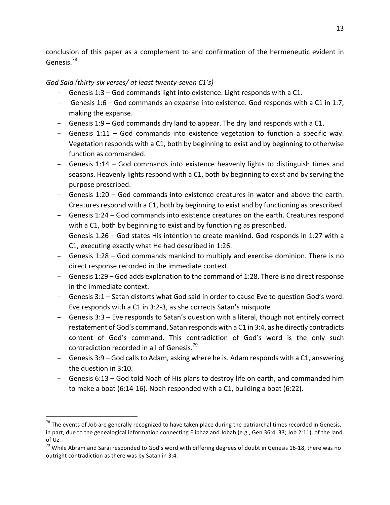conclusion of this paper as a complement to and confirmation of the hermeneutic evident in Genesis.<sup>78</sup>

# *God Said (thirty-six verses/ at least twenty-seven C1's)*

- Genesis  $1:3$  God commands light into existence. Light responds with a C1.
- $-$  Genesis 1:6 God commands an expanse into existence. God responds with a C1 in 1:7, making the expanse.
- Genesis  $1:9$  God commands dry land to appear. The dry land responds with a C1.
- $-$  Genesis 1:11 God commands into existence vegetation to function a specific way. Vegetation responds with a C1, both by beginning to exist and by beginning to otherwise function as commanded.
- $-$  Genesis 1:14 God commands into existence heavenly lights to distinguish times and seasons. Heavenly lights respond with a C1, both by beginning to exist and by serving the purpose prescribed.
- $-$  Genesis 1:20 God commands into existence creatures in water and above the earth. Creatures respond with a C1, both by beginning to exist and by functioning as prescribed.
- Genesis 1:24 God commands into existence creatures on the earth. Creatures respond with a C1, both by beginning to exist and by functioning as prescribed.
- Genesis 1:26 God states His intention to create mankind. God responds in 1:27 with a C1, executing exactly what He had described in 1:26.
- Genesis 1:28 God commands mankind to multiply and exercise dominion. There is no direct response recorded in the immediate context.
- $-$  Genesis 1:29 God adds explanation to the command of 1:28. There is no direct response in the immediate context.
- Genesis 3:1 Satan distorts what God said in order to cause Eve to question God's word. Eve responds with a C1 in 3:2-3, as she corrects Satan's misquote
- Genesis 3:3 Eve responds to Satan's question with a literal, though not entirely correct restatement of God's command. Satan responds with a C1 in 3:4, as he directly contradicts content of God's command. This contradiction of God's word is the only such contradiction recorded in all of Genesis.<sup>79</sup>
- Genesis 3:9 God calls to Adam, asking where he is. Adam responds with a C1, answering the question in 3:10.
- Genesis 6:13 God told Noah of His plans to destroy life on earth, and commanded him to make a boat (6:14-16). Noah responded with a C1, building a boat (6:22).

 $78$  The events of Job are generally recognized to have taken place during the patriarchal times recorded in Genesis, in part, due to the genealogical information connecting Eliphaz and Jobab (e.g., Gen 36:4, 33; Job 2:11), of the land  $of$  Uz.

 $79$  While Abram and Sarai responded to God's word with differing degrees of doubt in Genesis 16-18, there was no outright contradiction as there was by Satan in 3:4.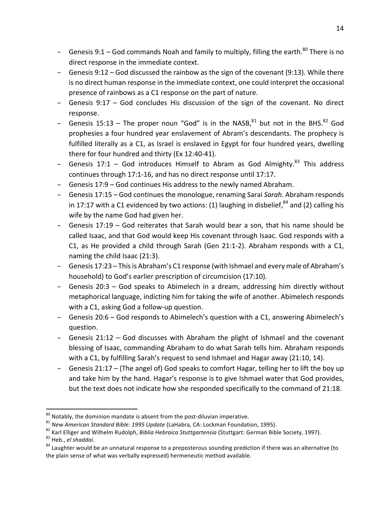- Genesis  $9:1$  God commands Noah and family to multiply, filling the earth.<sup>80</sup> There is no direct response in the immediate context.
- $-$  Genesis 9:12 God discussed the rainbow as the sign of the covenant (9:13). While there is no direct human response in the immediate context, one could interpret the occasional presence of rainbows as a C1 response on the part of nature.
- $-$  Genesis 9:17 God concludes His discussion of the sign of the covenant. No direct response.
- Genesis 15:13 The proper noun "God" is in the NASB,  $81$  but not in the BHS.  $82$  God prophesies a four hundred year enslavement of Abram's descendants. The prophecy is fulfilled literally as a C1, as Israel is enslaved in Egypt for four hundred years, dwelling there for four hundred and thirty (Ex 12:40-41).
- Genesis  $17:1$  God introduces Himself to Abram as God Almighty.<sup>83</sup> This address continues through 17:1-16, and has no direct response until 17:17.
- $-$  Genesis 17:9 God continues His address to the newly named Abraham.
- Genesis 17:15 God continues the monologue, renaming Sarai *Sarah*. Abraham responds in 17:17 with a C1 evidenced by two actions: (1) laughing in disbelief,<sup>84</sup> and (2) calling his wife by the name God had given her.
- $-$  Genesis 17:19 God reiterates that Sarah would bear a son, that his name should be called Isaac, and that God would keep His covenant through Isaac. God responds with a C1, as He provided a child through Sarah (Gen 21:1-2). Abraham responds with a C1, naming the child Isaac  $(21:3)$ .
- Genesis 17:23 This is Abraham's C1 response (with Ishmael and every male of Abraham's household) to God's earlier prescription of circumcision (17:10).
- Genesis 20:3 God speaks to Abimelech in a dream, addressing him directly without metaphorical language, indicting him for taking the wife of another. Abimelech responds with a C1, asking God a follow-up question.
- Genesis 20:6 God responds to Abimelech's question with a C1, answering Abimelech's question.
- $-$  Genesis 21:12 God discusses with Abraham the plight of Ishmael and the covenant blessing of Isaac, commanding Abraham to do what Sarah tells him. Abraham responds with a C1, by fulfilling Sarah's request to send Ishmael and Hagar away (21:10, 14).
- Genesis 21:17 (The angel of) God speaks to comfort Hagar, telling her to lift the boy up and take him by the hand. Hagar's response is to give Ishmael water that God provides, but the text does not indicate how she responded specifically to the command of 21:18.

<sup>&</sup>lt;sup>80</sup> Notably, the dominion mandate is absent from the post-diluvian imperative.<br><sup>81</sup> New American Standard Bible: 1995 Update (LaHabra, CA: Lockman Foundation, 1995).<br><sup>82</sup> Karl Elliger and Wilhelm Rudolph, Biblia Hebraica

the plain sense of what was verbally expressed) hermeneutic method available.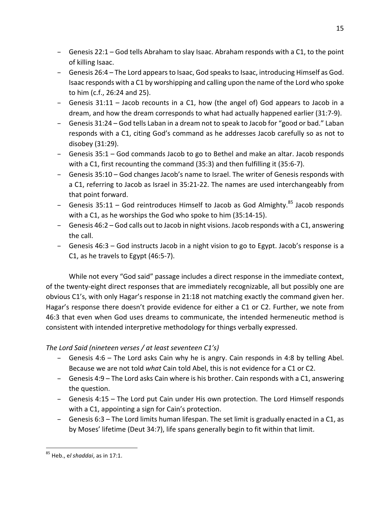- $-$  Genesis 22:1 God tells Abraham to slay Isaac. Abraham responds with a C1, to the point of killing Isaac.
- Genesis 26:4 The Lord appears to Isaac, God speaks to Isaac, introducing Himself as God. Isaac responds with a C1 by worshipping and calling upon the name of the Lord who spoke to him (c.f., 26:24 and 25).
- Genesis  $31:11 -$  Jacob recounts in a C1, how (the angel of) God appears to Jacob in a dream, and how the dream corresponds to what had actually happened earlier (31:7-9).
- $-$  Genesis 31:24 God tells Laban in a dream not to speak to Jacob for "good or bad." Laban responds with a C1, citing God's command as he addresses Jacob carefully so as not to disobey (31:29).
- Genesis 35:1 God commands Jacob to go to Bethel and make an altar. Jacob responds with a C1, first recounting the command  $(35:3)$  and then fulfilling it  $(35:6-7)$ .
- Genesis 35:10 God changes Jacob's name to Israel. The writer of Genesis responds with a C1, referring to Jacob as Israel in 35:21-22. The names are used interchangeably from that point forward.
- Genesis  $35:11 God$  reintroduces Himself to Jacob as God Almighty.<sup>85</sup> Jacob responds with a C1, as he worships the God who spoke to him (35:14-15).
- $-$  Genesis 46:2 God calls out to Jacob in night visions. Jacob responds with a C1, answering the call.
- Genesis 46:3 God instructs Jacob in a night vision to go to Egypt. Jacob's response is a C1, as he travels to Egypt  $(46:5-7)$ .

While not every "God said" passage includes a direct response in the immediate context, of the twenty-eight direct responses that are immediately recognizable, all but possibly one are obvious C1's, with only Hagar's response in 21:18 not matching exactly the command given her. Hagar's response there doesn't provide evidence for either a C1 or C2. Further, we note from 46:3 that even when God uses dreams to communicate, the intended hermeneutic method is consistent with intended interpretive methodology for things verbally expressed.

The Lord Said (nineteen verses / at least seventeen C1's)

- $-$  Genesis 4:6 The Lord asks Cain why he is angry. Cain responds in 4:8 by telling Abel. Because we are not told *what* Cain told Abel, this is not evidence for a C1 or C2.
- $-$  Genesis 4:9 The Lord asks Cain where is his brother. Cain responds with a C1, answering the question.
- Genesis 4:15 The Lord put Cain under His own protection. The Lord Himself responds with a C1, appointing a sign for Cain's protection.
- $-$  Genesis 6:3 The Lord limits human lifespan. The set limit is gradually enacted in a C1, as by Moses' lifetime (Deut 34:7), life spans generally begin to fit within that limit.

<sup>&</sup>lt;sup>85</sup> Heb., el shaddai, as in 17:1.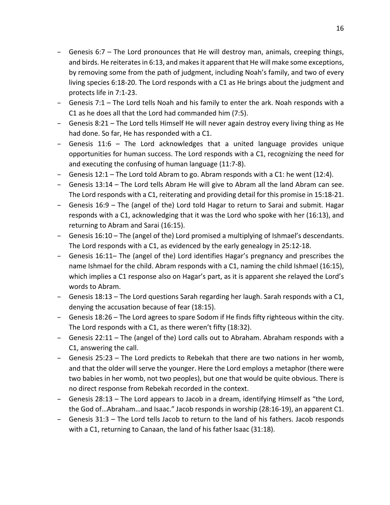- Genesis 6:7 The Lord pronounces that He will destroy man, animals, creeping things, and birds. He reiterates in 6:13, and makes it apparent that He will make some exceptions, by removing some from the path of judgment, including Noah's family, and two of every living species 6:18-20. The Lord responds with a C1 as He brings about the judgment and protects life in 7:1-23.
- $-$  Genesis 7:1 The Lord tells Noah and his family to enter the ark. Noah responds with a C1 as he does all that the Lord had commanded him (7:5).
- $-$  Genesis 8:21 The Lord tells Himself He will never again destroy every living thing as He had done. So far, He has responded with a C1.
- $-$  Genesis 11:6  $-$  The Lord acknowledges that a united language provides unique opportunities for human success. The Lord responds with a C1, recognizing the need for and executing the confusing of human language (11:7-8).
- Genesis  $12:1$  The Lord told Abram to go. Abram responds with a C1: he went (12:4).
- $-$  Genesis 13:14  $-$  The Lord tells Abram He will give to Abram all the land Abram can see. The Lord responds with a C1, reiterating and providing detail for this promise in 15:18-21.
- $-$  Genesis 16:9 The (angel of the) Lord told Hagar to return to Sarai and submit. Hagar responds with a C1, acknowledging that it was the Lord who spoke with her (16:13), and returning to Abram and Sarai (16:15).
- $-$  Genesis 16:10 The (angel of the) Lord promised a multiplying of Ishmael's descendants. The Lord responds with a C1, as evidenced by the early genealogy in  $25:12-18$ .
- Genesis 16:11– The (angel of the) Lord identifies Hagar's pregnancy and prescribes the name Ishmael for the child. Abram responds with a C1, naming the child Ishmael (16:15), which implies a C1 response also on Hagar's part, as it is apparent she relayed the Lord's words to Abram.
- $-$  Genesis 18:13 The Lord questions Sarah regarding her laugh. Sarah responds with a C1, denying the accusation because of fear (18:15).
- $-$  Genesis 18:26 The Lord agrees to spare Sodom if He finds fifty righteous within the city. The Lord responds with a C1, as there weren't fifty (18:32).
- $-$  Genesis 22:11 The (angel of the) Lord calls out to Abraham. Abraham responds with a C1, answering the call.
- $-$  Genesis 25:23 The Lord predicts to Rebekah that there are two nations in her womb, and that the older will serve the younger. Here the Lord employs a metaphor (there were two babies in her womb, not two peoples), but one that would be quite obvious. There is no direct response from Rebekah recorded in the context.
- $-$  Genesis 28:13 The Lord appears to Jacob in a dream, identifying Himself as "the Lord, the God of...Abraham...and Isaac." Jacob responds in worship (28:16-19), an apparent C1.
- $-$  Genesis 31:3 The Lord tells Jacob to return to the land of his fathers. Jacob responds with a C1, returning to Canaan, the land of his father Isaac  $(31:18)$ .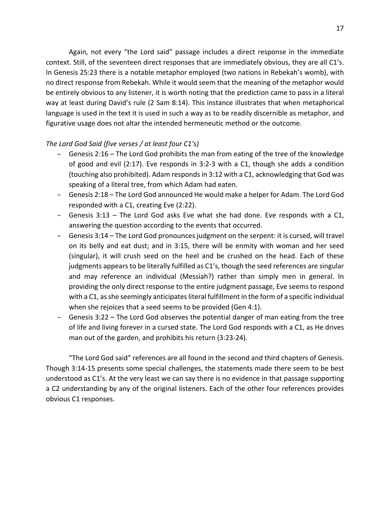Again, not every "the Lord said" passage includes a direct response in the immediate context. Still, of the seventeen direct responses that are immediately obvious, they are all C1's. In Genesis 25:23 there is a notable metaphor employed (two nations in Rebekah's womb), with no direct response from Rebekah. While it would seem that the meaning of the metaphor would be entirely obvious to any listener, it is worth noting that the prediction came to pass in a literal way at least during David's rule (2 Sam 8:14). This instance illustrates that when metaphorical language is used in the text it is used in such a way as to be readily discernible as metaphor, and figurative usage does not altar the intended hermeneutic method or the outcome.

## *The Lord God Said (five verses / at least four C1's)*

- Genesis 2:16 The Lord God prohibits the man from eating of the tree of the knowledge of good and evil  $(2:17)$ . Eve responds in 3:2-3 with a C1, though she adds a condition (touching also prohibited). Adam responds in 3:12 with a C1, acknowledging that God was speaking of a literal tree, from which Adam had eaten.
- Genesis 2:18 The Lord God announced He would make a helper for Adam. The Lord God responded with a C1, creating Eve (2:22).
- Genesis 3:13 The Lord God asks Eve what she had done. Eve responds with a C1, answering the question according to the events that occurred.
- $-$  Genesis 3:14 The Lord God pronounces judgment on the serpent: it is cursed, will travel on its belly and eat dust; and in 3:15, there will be enmity with woman and her seed (singular), it will crush seed on the heel and be crushed on the head. Each of these judgments appears to be literally fulfilled as C1's, though the seed references are singular and may reference an individual (Messiah?) rather than simply men in general. In providing the only direct response to the entire judgment passage, Eve seems to respond with a C1, as she seemingly anticipates literal fulfillment in the form of a specific individual when she rejoices that a seed seems to be provided (Gen 4:1).
- $-$  Genesis 3:22 The Lord God observes the potential danger of man eating from the tree of life and living forever in a cursed state. The Lord God responds with a C1, as He drives man out of the garden, and prohibits his return (3:23-24).

"The Lord God said" references are all found in the second and third chapters of Genesis. Though 3:14-15 presents some special challenges, the statements made there seem to be best understood as C1's. At the very least we can say there is no evidence in that passage supporting a C2 understanding by any of the original listeners. Each of the other four references provides obvious C1 responses.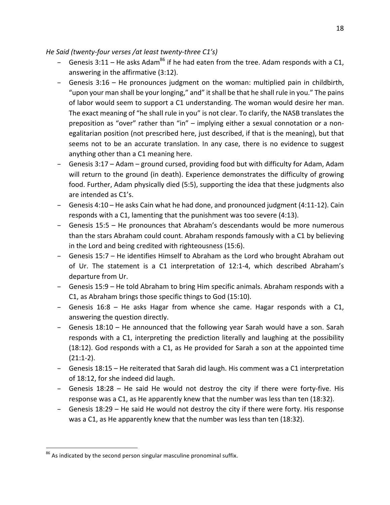*He Said (twenty-four verses /at least twenty-three C1's)* 

- Genesis 3:11 He asks Adam<sup>86</sup> if he had eaten from the tree. Adam responds with a C1, answering in the affirmative  $(3:12)$ .
- Genesis 3:16 He pronounces judgment on the woman: multiplied pain in childbirth, "upon your man shall be your longing," and" it shall be that he shall rule in you." The pains of labor would seem to support a C1 understanding. The woman would desire her man. The exact meaning of "he shall rule in you" is not clear. To clarify, the NASB translates the preposition as "over" rather than "in" – implying either a sexual connotation or a nonegalitarian position (not prescribed here, just described, if that is the meaning), but that seems not to be an accurate translation. In any case, there is no evidence to suggest anything other than a C1 meaning here.
- Genesis 3:17 Adam ground cursed, providing food but with difficulty for Adam, Adam will return to the ground (in death). Experience demonstrates the difficulty of growing food. Further, Adam physically died (5:5), supporting the idea that these judgments also are intended as C1's.
- $-$  Genesis 4:10 He asks Cain what he had done, and pronounced judgment (4:11-12). Cain responds with a C1, lamenting that the punishment was too severe (4:13).
- $-$  Genesis 15:5 He pronounces that Abraham's descendants would be more numerous than the stars Abraham could count. Abraham responds famously with a C1 by believing in the Lord and being credited with righteousness (15:6).
- $-$  Genesis 15:7 He identifies Himself to Abraham as the Lord who brought Abraham out of Ur. The statement is a C1 interpretation of 12:1-4, which described Abraham's departure from Ur.
- Genesis 15:9 He told Abraham to bring Him specific animals. Abraham responds with a C1, as Abraham brings those specific things to God (15:10).
- $-$  Genesis 16:8  $-$  He asks Hagar from whence she came. Hagar responds with a C1, answering the question directly.
- $-$  Genesis 18:10  $-$  He announced that the following year Sarah would have a son. Sarah responds with a C1, interpreting the prediction literally and laughing at the possibility  $(18:12)$ . God responds with a C1, as He provided for Sarah a son at the appointed time  $(21:1-2)$ .
- $-$  Genesis 18:15 He reiterated that Sarah did laugh. His comment was a C1 interpretation of 18:12, for she indeed did laugh.
- Genesis 18:28 He said He would not destroy the city if there were forty-five. His response was a C1, as He apparently knew that the number was less than ten (18:32).
- $-$  Genesis 18:29 He said He would not destroy the city if there were forty. His response was a C1, as He apparently knew that the number was less than ten (18:32).

 $86$  As indicated by the second person singular masculine pronominal suffix.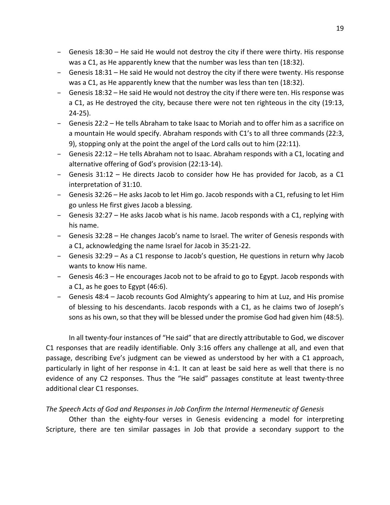- Genesis 18:30 He said He would not destroy the city if there were thirty. His response was a C1, as He apparently knew that the number was less than ten (18:32).
- $-$  Genesis 18:31 He said He would not destroy the city if there were twenty. His response was a C1, as He apparently knew that the number was less than ten (18:32).
- $-$  Genesis 18:32 He said He would not destroy the city if there were ten. His response was a C1, as He destroyed the city, because there were not ten righteous in the city (19:13, 24-25).
- $-$  Genesis 22:2 He tells Abraham to take Isaac to Moriah and to offer him as a sacrifice on a mountain He would specify. Abraham responds with C1's to all three commands (22:3, 9), stopping only at the point the angel of the Lord calls out to him (22:11).
- Genesis 22:12 He tells Abraham not to Isaac. Abraham responds with a C1, locating and alternative offering of God's provision (22:13-14).
- Genesis 31:12 He directs Jacob to consider how He has provided for Jacob, as a C1 interpretation of 31:10.
- $-$  Genesis 32:26 He asks Jacob to let Him go. Jacob responds with a C1, refusing to let Him go unless He first gives Jacob a blessing.
- $-$  Genesis 32:27 He asks Jacob what is his name. Jacob responds with a C1, replying with his name.
- Genesis 32:28 He changes Jacob's name to Israel. The writer of Genesis responds with a C1, acknowledging the name Israel for Jacob in 35:21-22.
- Genesis 32:29 As a C1 response to Jacob's question, He questions in return why Jacob wants to know His name.
- Genesis 46:3 He encourages Jacob not to be afraid to go to Egypt. Jacob responds with a  $C1$ , as he goes to Egypt  $(46:6)$ .
- Genesis 48:4 Jacob recounts God Almighty's appearing to him at Luz, and His promise of blessing to his descendants. Jacob responds with a C1, as he claims two of Joseph's sons as his own, so that they will be blessed under the promise God had given him (48:5).

In all twenty-four instances of "He said" that are directly attributable to God, we discover C1 responses that are readily identifiable. Only 3:16 offers any challenge at all, and even that passage, describing Eve's judgment can be viewed as understood by her with a C1 approach, particularly in light of her response in 4:1. It can at least be said here as well that there is no evidence of any C2 responses. Thus the "He said" passages constitute at least twenty-three additional clear C1 responses.

# The Speech Acts of God and Responses in Job Confirm the Internal Hermeneutic of Genesis

Other than the eighty-four verses in Genesis evidencing a model for interpreting Scripture, there are ten similar passages in Job that provide a secondary support to the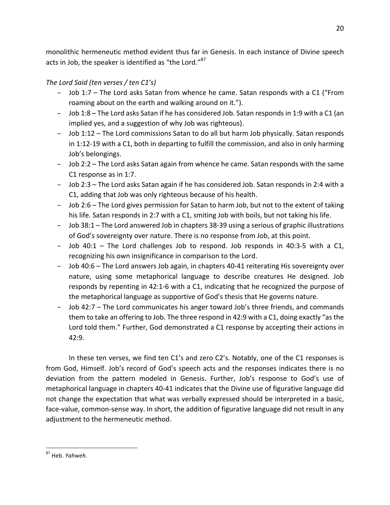monolithic hermeneutic method evident thus far in Genesis. In each instance of Divine speech acts in Job, the speaker is identified as "the Lord." $87$ 

# *The Lord Said (ten verses / ten C1's)*

- Job 1:7 The Lord asks Satan from whence he came. Satan responds with a C1 ("From roaming about on the earth and walking around on it.").
- $-$  Job 1:8 The Lord asks Satan if he has considered Job. Satan responds in 1:9 with a C1 (an implied yes, and a suggestion of why Job was righteous).
- $-$  Job 1:12 The Lord commissions Satan to do all but harm Job physically. Satan responds in 1:12-19 with a C1, both in departing to fulfill the commission, and also in only harming Job's belongings.
- $-$  Job 2:2 The Lord asks Satan again from whence he came. Satan responds with the same C1 response as in 1:7.
- $-$  Job 2:3 The Lord asks Satan again if he has considered Job. Satan responds in 2:4 with a C1, adding that Job was only righteous because of his health.
- $-$  Job 2:6 The Lord gives permission for Satan to harm Job, but not to the extent of taking his life. Satan responds in 2:7 with a C1, smiting Job with boils, but not taking his life.
- Job 38:1 The Lord answered Job in chapters 38-39 using a serious of graphic illustrations of God's sovereignty over nature. There is no response from Job, at this point.
- $-$  Job 40:1  $-$  The Lord challenges Job to respond. Job responds in 40:3-5 with a C1, recognizing his own insignificance in comparison to the Lord.
- Job 40:6 The Lord answers Job again, in chapters 40-41 reiterating His sovereignty over nature, using some metaphorical language to describe creatures He designed. Job responds by repenting in 42:1-6 with a C1, indicating that he recognized the purpose of the metaphorical language as supportive of God's thesis that He governs nature.
- Job 42:7 The Lord communicates his anger toward Job's three friends, and commands them to take an offering to Job. The three respond in 42:9 with a C1, doing exactly "as the Lord told them." Further, God demonstrated a C1 response by accepting their actions in 42:9.

In these ten verses, we find ten  $C1$ 's and zero  $C2$ 's. Notably, one of the  $C1$  responses is from God, Himself. Job's record of God's speech acts and the responses indicates there is no deviation from the pattern modeled in Genesis. Further, Job's response to God's use of metaphorical language in chapters 40-41 indicates that the Divine use of figurative language did not change the expectation that what was verbally expressed should be interpreted in a basic, face-value, common-sense way. In short, the addition of figurative language did not result in any adjustment to the hermeneutic method.

 <sup>87</sup> Heb. *Yahweh*.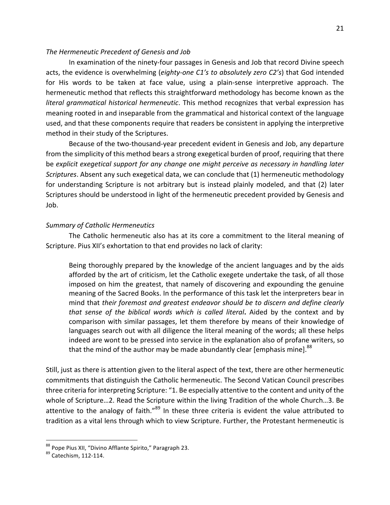## The Hermeneutic Precedent of Genesis and Job

In examination of the ninety-four passages in Genesis and Job that record Divine speech acts, the evidence is overwhelming (*eighty-one C1's to absolutely zero C2's*) that God intended for His words to be taken at face value, using a plain-sense interpretive approach. The hermeneutic method that reflects this straightforward methodology has become known as the *literal grammatical historical hermeneutic*. This method recognizes that verbal expression has meaning rooted in and inseparable from the grammatical and historical context of the language used, and that these components require that readers be consistent in applying the interpretive method in their study of the Scriptures.

Because of the two-thousand-year precedent evident in Genesis and Job, any departure from the simplicity of this method bears a strong exegetical burden of proof, requiring that there be explicit exegetical support for any change one might perceive as necessary in handling later *Scriptures*. Absent any such exegetical data, we can conclude that (1) hermeneutic methodology for understanding Scripture is not arbitrary but is instead plainly modeled, and that (2) later Scriptures should be understood in light of the hermeneutic precedent provided by Genesis and Job.

#### *Summary of Catholic Hermeneutics*

The Catholic hermeneutic also has at its core a commitment to the literal meaning of Scripture. Pius XII's exhortation to that end provides no lack of clarity:

Being thoroughly prepared by the knowledge of the ancient languages and by the aids afforded by the art of criticism, let the Catholic exegete undertake the task, of all those imposed on him the greatest, that namely of discovering and expounding the genuine meaning of the Sacred Books. In the performance of this task let the interpreters bear in mind that *their foremost and greatest endeavor should be to discern and define clearly* that sense of the biblical words which is called literal. Aided by the context and by comparison with similar passages, let them therefore by means of their knowledge of languages search out with all diligence the literal meaning of the words; all these helps indeed are wont to be pressed into service in the explanation also of profane writers, so that the mind of the author may be made abundantly clear [emphasis mine].<sup>88</sup>

Still, just as there is attention given to the literal aspect of the text, there are other hermeneutic commitments that distinguish the Catholic hermeneutic. The Second Vatican Council prescribes three criteria for interpreting Scripture: "1. Be especially attentive to the content and unity of the whole of Scripture…2. Read the Scripture within the living Tradition of the whole Church…3. Be attentive to the analogy of faith."<sup>89</sup> In these three criteria is evident the value attributed to tradition as a vital lens through which to view Scripture. Further, the Protestant hermeneutic is

 $88$  Pope Pius XII, "Divino Afflante Spirito," Paragraph 23.  $89$  Catechism, 112-114.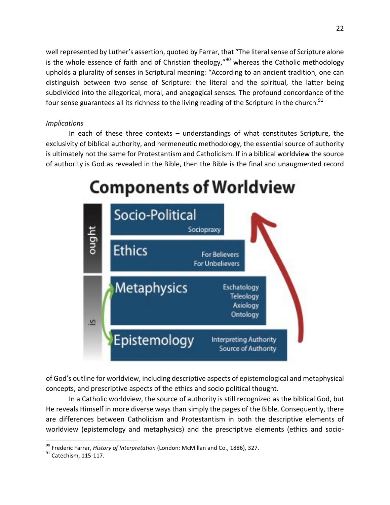well represented by Luther's assertion, quoted by Farrar, that "The literal sense of Scripture alone is the whole essence of faith and of Christian theology," $^{90}$  whereas the Catholic methodology upholds a plurality of senses in Scriptural meaning: "According to an ancient tradition, one can distinguish between two sense of Scripture: the literal and the spiritual, the latter being subdivided into the allegorical, moral, and anagogical senses. The profound concordance of the four sense guarantees all its richness to the living reading of the Scripture in the church.<sup>91</sup>

# *Implications*

In each of these three contexts  $-$  understandings of what constitutes Scripture, the exclusivity of biblical authority, and hermeneutic methodology, the essential source of authority is ultimately not the same for Protestantism and Catholicism. If in a biblical worldview the source of authority is God as revealed in the Bible, then the Bible is the final and unaugmented record

# **Components of Worldview**



of God's outline for worldview, including descriptive aspects of epistemological and metaphysical concepts, and prescriptive aspects of the ethics and socio political thought.

In a Catholic worldview, the source of authority is still recognized as the biblical God, but He reveals Himself in more diverse ways than simply the pages of the Bible. Consequently, there are differences between Catholicism and Protestantism in both the descriptive elements of worldview (epistemology and metaphysics) and the prescriptive elements (ethics and socio-

<sup>&</sup>lt;sup>90</sup> Frederic Farrar, *History of Interpretation* (London: McMillan and Co., 1886), 327.<br><sup>91</sup> Catechism, 115-117.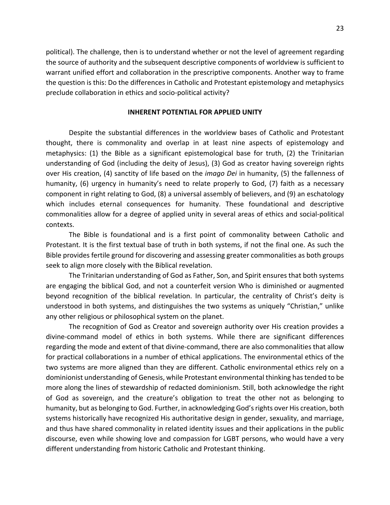political). The challenge, then is to understand whether or not the level of agreement regarding the source of authority and the subsequent descriptive components of worldview is sufficient to warrant unified effort and collaboration in the prescriptive components. Another way to frame the question is this: Do the differences in Catholic and Protestant epistemology and metaphysics preclude collaboration in ethics and socio-political activity?

#### **INHERENT POTENTIAL FOR APPLIED UNITY**

Despite the substantial differences in the worldview bases of Catholic and Protestant thought, there is commonality and overlap in at least nine aspects of epistemology and metaphysics:  $(1)$  the Bible as a significant epistemological base for truth,  $(2)$  the Trinitarian understanding of God (including the deity of Jesus), (3) God as creator having sovereign rights over His creation, (4) sanctity of life based on the *imago Dei* in humanity, (5) the fallenness of humanity, (6) urgency in humanity's need to relate properly to God, (7) faith as a necessary component in right relating to God, (8) a universal assembly of believers, and (9) an eschatology which includes eternal consequences for humanity. These foundational and descriptive commonalities allow for a degree of applied unity in several areas of ethics and social-political contexts. 

The Bible is foundational and is a first point of commonality between Catholic and Protestant. It is the first textual base of truth in both systems, if not the final one. As such the Bible provides fertile ground for discovering and assessing greater commonalities as both groups seek to align more closely with the Biblical revelation.

The Trinitarian understanding of God as Father, Son, and Spirit ensures that both systems are engaging the biblical God, and not a counterfeit version Who is diminished or augmented beyond recognition of the biblical revelation. In particular, the centrality of Christ's deity is understood in both systems, and distinguishes the two systems as uniquely "Christian," unlike any other religious or philosophical system on the planet.

The recognition of God as Creator and sovereign authority over His creation provides a divine-command model of ethics in both systems. While there are significant differences regarding the mode and extent of that divine-command, there are also commonalities that allow for practical collaborations in a number of ethical applications. The environmental ethics of the two systems are more aligned than they are different. Catholic environmental ethics rely on a dominionist understanding of Genesis, while Protestant environmental thinking has tended to be more along the lines of stewardship of redacted dominionism. Still, both acknowledge the right of God as sovereign, and the creature's obligation to treat the other not as belonging to humanity, but as belonging to God. Further, in acknowledging God's rights over His creation, both systems historically have recognized His authoritative design in gender, sexuality, and marriage, and thus have shared commonality in related identity issues and their applications in the public discourse, even while showing love and compassion for LGBT persons, who would have a very different understanding from historic Catholic and Protestant thinking.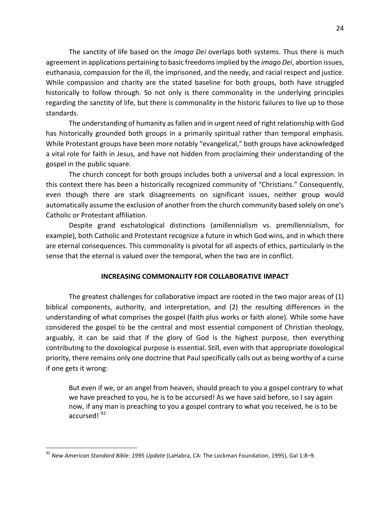The sanctity of life based on the *imago Dei* overlaps both systems. Thus there is much agreement in applications pertaining to basic freedoms implied by the *imago Dei*, abortion issues, euthanasia, compassion for the ill, the imprisoned, and the needy, and racial respect and justice. While compassion and charity are the stated baseline for both groups, both have struggled historically to follow through. So not only is there commonality in the underlying principles regarding the sanctity of life, but there is commonality in the historic failures to live up to those standards.

The understanding of humanity as fallen and in urgent need of right relationship with God has historically grounded both groups in a primarily spiritual rather than temporal emphasis. While Protestant groups have been more notably "evangelical," both groups have acknowledged a vital role for faith in Jesus, and have not hidden from proclaiming their understanding of the gospel in the public square.

The church concept for both groups includes both a universal and a local expression. In this context there has been a historically recognized community of "Christians." Consequently, even though there are stark disagreements on significant issues, neither group would automatically assume the exclusion of another from the church community based solely on one's Catholic or Protestant affiliation.

Despite grand eschatological distinctions (amillennialism vs. premillennialism, for example), both Catholic and Protestant recognize a future in which God wins, and in which there are eternal consequences. This commonality is pivotal for all aspects of ethics, particularly in the sense that the eternal is valued over the temporal, when the two are in conflict.

#### **INCREASING COMMONALITY FOR COLLABORATIVE IMPACT**

The greatest challenges for collaborative impact are rooted in the two major areas of  $(1)$ biblical components, authority, and interpretation, and (2) the resulting differences in the understanding of what comprises the gospel (faith plus works or faith alone). While some have considered the gospel to be the central and most essential component of Christian theology, arguably, it can be said that if the glory of God is the highest purpose, then everything contributing to the doxological purpose is essential. Still, even with that appropriate doxological priority, there remains only one doctrine that Paul specifically calls out as being worthy of a curse if one gets it wrong:

But even if we, or an angel from heaven, should preach to you a gospel contrary to what we have preached to you, he is to be accursed! As we have said before, so I say again now, if any man is preaching to you a gospel contrary to what you received, he is to be accursed! 92

<sup>&</sup>lt;sup>92</sup> New American Standard Bible: 1995 Update (LaHabra, CA: The Lockman Foundation, 1995), Gal 1:8–9.